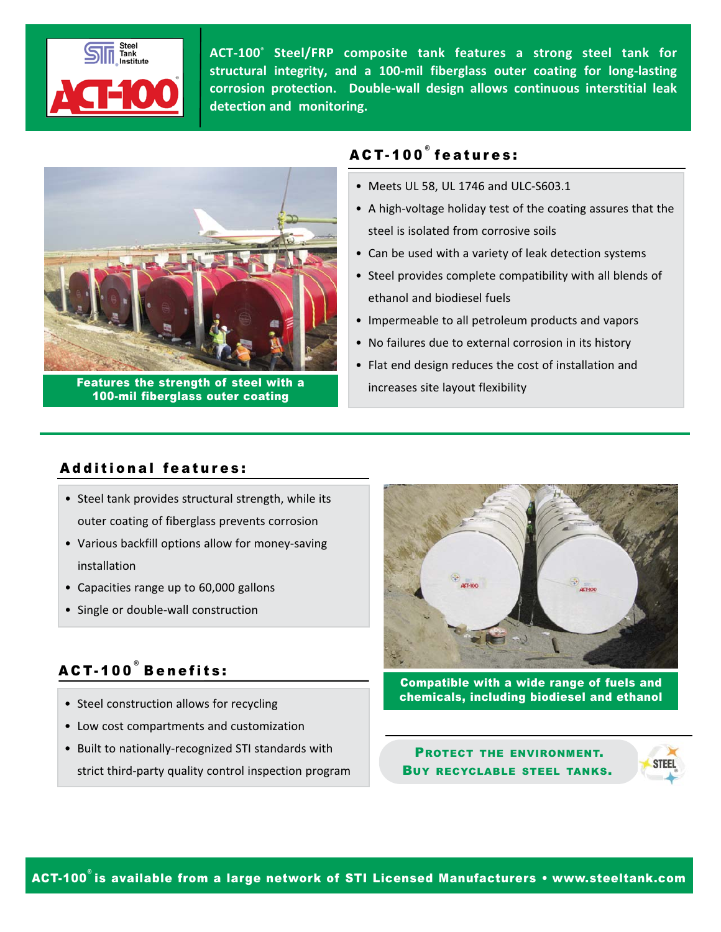

**ACT‐100® Steel/FRP composite tank features a strong steel tank for structural integrity, and a 100‐mil fiberglass outer coating for long‐lasting corrosion protection. Double‐wall design allows continuous interstitial leak detection and monitoring.**



Features the strength of steel with a 100-mil fiberglass outer coating

# ACT-100 ® features:

- Meets UL 58, UL 1746 and ULC‐S603.1
- A high‐voltage holiday test of the coating assures that the steel is isolated from corrosive soils
- Can be used with a variety of leak detection systems
- Steel provides complete compatibility with all blends of ethanol and biodiesel fuels
- Impermeable to all petroleum products and vapors
- No failures due to external corrosion in its history
- Flat end design reduces the cost of installation and increases site layout flexibility

## Additional features:

- Steel tank provides structural strength, while its outer coating of fiberglass prevents corrosion
- Various backfill options allow for money‐saving installation
- Capacities range up to 60,000 gallons
- Single or double‐wall construction

# ACT-100 ® Benefits:

- Steel construction allows for recycling
- Low cost compartments and customization
- Built to nationally‐recognized STI standards with strict third‐party quality control inspection program



Compatible with a wide range of fuels and chemicals, including biodiesel and ethanol

PROTECT THE ENVIRONMENT. BUY RECYCLABLE STEEL TANKS.